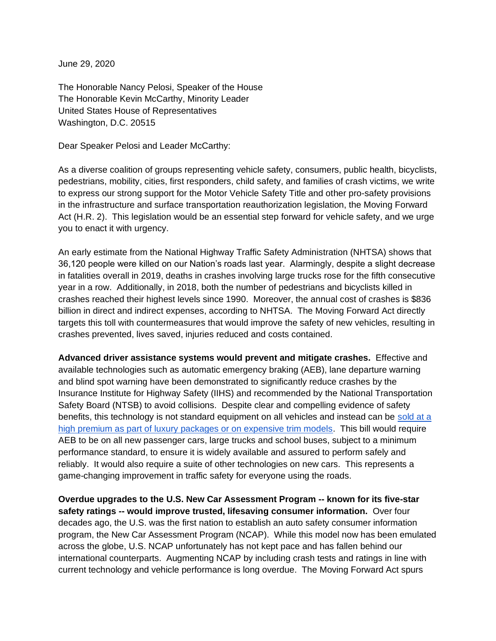June 29, 2020

The Honorable Nancy Pelosi, Speaker of the House The Honorable Kevin McCarthy, Minority Leader United States House of Representatives Washington, D.C. 20515

Dear Speaker Pelosi and Leader McCarthy:

As a diverse coalition of groups representing vehicle safety, consumers, public health, bicyclists, pedestrians, mobility, cities, first responders, child safety, and families of crash victims, we write to express our strong support for the Motor Vehicle Safety Title and other pro-safety provisions in the infrastructure and surface transportation reauthorization legislation, the Moving Forward Act (H.R. 2). This legislation would be an essential step forward for vehicle safety, and we urge you to enact it with urgency.

An early estimate from the National Highway Traffic Safety Administration (NHTSA) shows that 36,120 people were killed on our Nation's roads last year. Alarmingly, despite a slight decrease in fatalities overall in 2019, deaths in crashes involving large trucks rose for the fifth consecutive year in a row. Additionally, in 2018, both the number of pedestrians and bicyclists killed in crashes reached their highest levels since 1990. Moreover, the annual cost of crashes is \$836 billion in direct and indirect expenses, according to NHTSA. The Moving Forward Act directly targets this toll with countermeasures that would improve the safety of new vehicles, resulting in crashes prevented, lives saved, injuries reduced and costs contained.

**Advanced driver assistance systems would prevent and mitigate crashes.** Effective and available technologies such as automatic emergency braking (AEB), lane departure warning and blind spot warning have been demonstrated to significantly reduce crashes by the Insurance Institute for Highway Safety (IIHS) and recommended by the National Transportation Safety Board (NTSB) to avoid collisions. Despite clear and compelling evidence of safety benefits, this technology is not standard equipment on all vehicles and instead can be [sold at a](https://advocacy.consumerreports.org/press_release/cr-study-finds-automakers-charging-premium-for-safety/)  [high premium as part of luxury packages or on expensive trim models.](https://advocacy.consumerreports.org/press_release/cr-study-finds-automakers-charging-premium-for-safety/) This bill would require AEB to be on all new passenger cars, large trucks and school buses, subject to a minimum performance standard, to ensure it is widely available and assured to perform safely and reliably. It would also require a suite of other technologies on new cars. This represents a game-changing improvement in traffic safety for everyone using the roads.

**Overdue upgrades to the U.S. New Car Assessment Program -- known for its five-star safety ratings -- would improve trusted, lifesaving consumer information.** Over four decades ago, the U.S. was the first nation to establish an auto safety consumer information program, the New Car Assessment Program (NCAP). While this model now has been emulated across the globe, U.S. NCAP unfortunately has not kept pace and has fallen behind our international counterparts. Augmenting NCAP by including crash tests and ratings in line with current technology and vehicle performance is long overdue. The Moving Forward Act spurs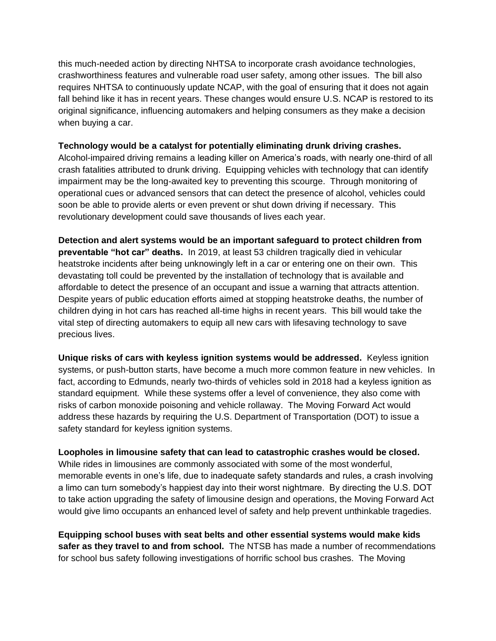this much-needed action by directing NHTSA to incorporate crash avoidance technologies, crashworthiness features and vulnerable road user safety, among other issues. The bill also requires NHTSA to continuously update NCAP, with the goal of ensuring that it does not again fall behind like it has in recent years. These changes would ensure U.S. NCAP is restored to its original significance, influencing automakers and helping consumers as they make a decision when buying a car.

## **Technology would be a catalyst for potentially eliminating drunk driving crashes.**

Alcohol-impaired driving remains a leading killer on America's roads, with nearly one-third of all crash fatalities attributed to drunk driving. Equipping vehicles with technology that can identify impairment may be the long-awaited key to preventing this scourge. Through monitoring of operational cues or advanced sensors that can detect the presence of alcohol, vehicles could soon be able to provide alerts or even prevent or shut down driving if necessary. This revolutionary development could save thousands of lives each year.

**Detection and alert systems would be an important safeguard to protect children from preventable "hot car" deaths.** In 2019, at least 53 children tragically died in vehicular heatstroke incidents after being unknowingly left in a car or entering one on their own. This devastating toll could be prevented by the installation of technology that is available and affordable to detect the presence of an occupant and issue a warning that attracts attention. Despite years of public education efforts aimed at stopping heatstroke deaths, the number of children dying in hot cars has reached all-time highs in recent years. This bill would take the vital step of directing automakers to equip all new cars with lifesaving technology to save precious lives.

**Unique risks of cars with keyless ignition systems would be addressed.** Keyless ignition systems, or push-button starts, have become a much more common feature in new vehicles. In fact, according to Edmunds, nearly two-thirds of vehicles sold in 2018 had a keyless ignition as standard equipment. While these systems offer a level of convenience, they also come with risks of carbon monoxide poisoning and vehicle rollaway. The Moving Forward Act would address these hazards by requiring the U.S. Department of Transportation (DOT) to issue a safety standard for keyless ignition systems.

**Loopholes in limousine safety that can lead to catastrophic crashes would be closed.**  While rides in limousines are commonly associated with some of the most wonderful, memorable events in one's life, due to inadequate safety standards and rules, a crash involving a limo can turn somebody's happiest day into their worst nightmare. By directing the U.S. DOT to take action upgrading the safety of limousine design and operations, the Moving Forward Act would give limo occupants an enhanced level of safety and help prevent unthinkable tragedies.

**Equipping school buses with seat belts and other essential systems would make kids safer as they travel to and from school.** The NTSB has made a number of recommendations for school bus safety following investigations of horrific school bus crashes. The Moving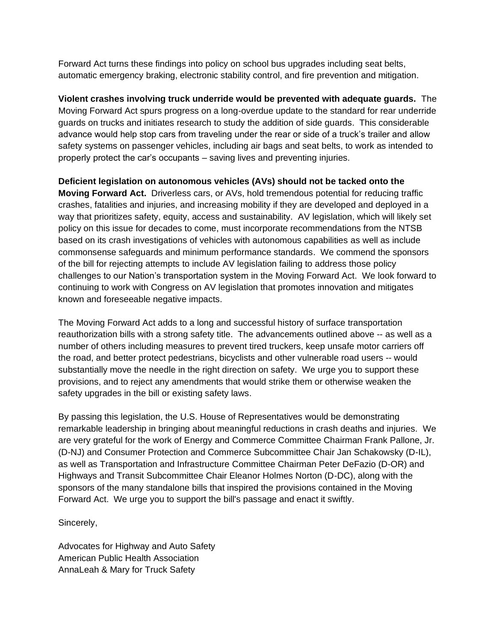Forward Act turns these findings into policy on school bus upgrades including seat belts, automatic emergency braking, electronic stability control, and fire prevention and mitigation.

**Violent crashes involving truck underride would be prevented with adequate guards.** The Moving Forward Act spurs progress on a long-overdue update to the standard for rear underride guards on trucks and initiates research to study the addition of side guards. This considerable advance would help stop cars from traveling under the rear or side of a truck's trailer and allow safety systems on passenger vehicles, including air bags and seat belts, to work as intended to properly protect the car's occupants – saving lives and preventing injuries.

**Deficient legislation on autonomous vehicles (AVs) should not be tacked onto the Moving Forward Act.** Driverless cars, or AVs, hold tremendous potential for reducing traffic crashes, fatalities and injuries, and increasing mobility if they are developed and deployed in a way that prioritizes safety, equity, access and sustainability. AV legislation, which will likely set policy on this issue for decades to come, must incorporate recommendations from the NTSB based on its crash investigations of vehicles with autonomous capabilities as well as include commonsense safeguards and minimum performance standards. We commend the sponsors of the bill for rejecting attempts to include AV legislation failing to address those policy challenges to our Nation's transportation system in the Moving Forward Act. We look forward to continuing to work with Congress on AV legislation that promotes innovation and mitigates known and foreseeable negative impacts.

The Moving Forward Act adds to a long and successful history of surface transportation reauthorization bills with a strong safety title. The advancements outlined above -- as well as a number of others including measures to prevent tired truckers, keep unsafe motor carriers off the road, and better protect pedestrians, bicyclists and other vulnerable road users -- would substantially move the needle in the right direction on safety. We urge you to support these provisions, and to reject any amendments that would strike them or otherwise weaken the safety upgrades in the bill or existing safety laws.

By passing this legislation, the U.S. House of Representatives would be demonstrating remarkable leadership in bringing about meaningful reductions in crash deaths and injuries. We are very grateful for the work of Energy and Commerce Committee Chairman Frank Pallone, Jr. (D-NJ) and Consumer Protection and Commerce Subcommittee Chair Jan Schakowsky (D-IL), as well as Transportation and Infrastructure Committee Chairman Peter DeFazio (D-OR) and Highways and Transit Subcommittee Chair Eleanor Holmes Norton (D-DC), along with the sponsors of the many standalone bills that inspired the provisions contained in the Moving Forward Act. We urge you to support the bill's passage and enact it swiftly.

Sincerely,

Advocates for Highway and Auto Safety American Public Health Association AnnaLeah & Mary for Truck Safety